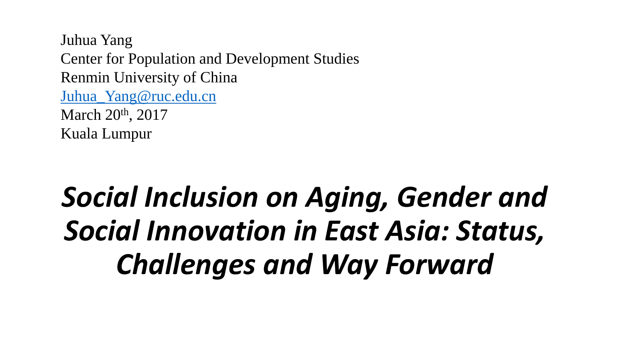Juhua Yang Center for Population and Development Studies Renmin University of China [Juhua\\_Yang@ruc.edu.cn](mailto:Juhua_Yang@ruc.edu.cn) March 20<sup>th</sup>, 2017 Kuala Lumpur

# *Social Inclusion on Aging, Gender and Social Innovation in East Asia: Status, Challenges and Way Forward*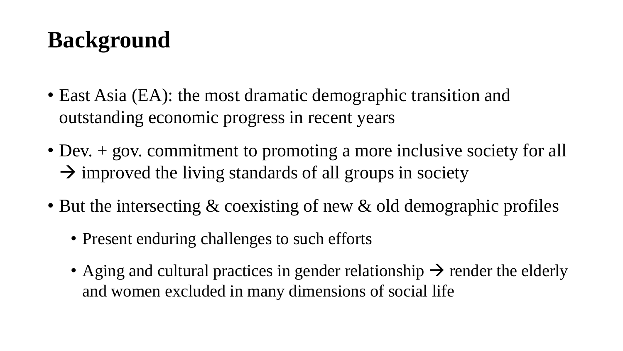# **Background**

- East Asia (EA): the most dramatic demographic transition and outstanding economic progress in recent years
- Dev. + gov. commitment to promoting a more inclusive society for all  $\rightarrow$  improved the living standards of all groups in society
- But the intersecting & coexisting of new & old demographic profiles
	- Present enduring challenges to such efforts
	- Aging and cultural practices in gender relationship  $\rightarrow$  render the elderly and women excluded in many dimensions of social life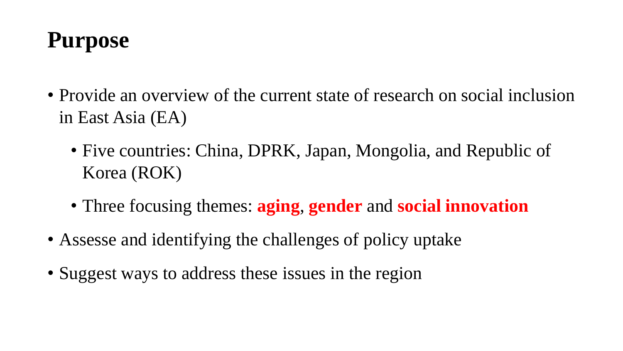# **Purpose**

- Provide an overview of the current state of research on social inclusion in East Asia (EA)
	- Five countries: China, DPRK, Japan, Mongolia, and Republic of Korea (ROK)
	- Three focusing themes: **aging**, **gender** and **social innovation**
- Assesse and identifying the challenges of policy uptake
- Suggest ways to address these issues in the region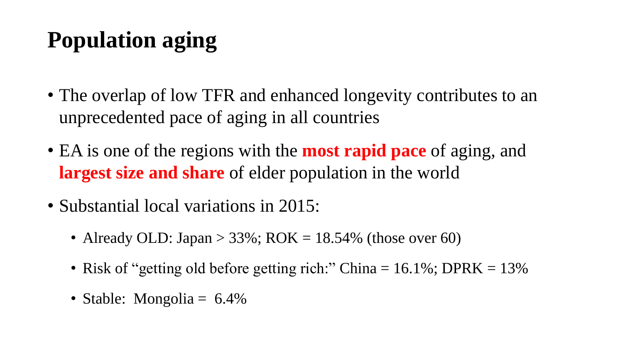# **Population aging**

- The overlap of low TFR and enhanced longevity contributes to an unprecedented pace of aging in all countries
- EA is one of the regions with the **most rapid pace** of aging, and **largest size and share** of elder population in the world
- Substantial local variations in 2015:
	- Already OLD: Japan > 33%;  $ROK = 18.54\%$  (those over 60)
	- Risk of "getting old before getting rich:" China  $= 16.1\%$ ; DPRK  $= 13\%$
	- Stable: Mongolia = 6.4%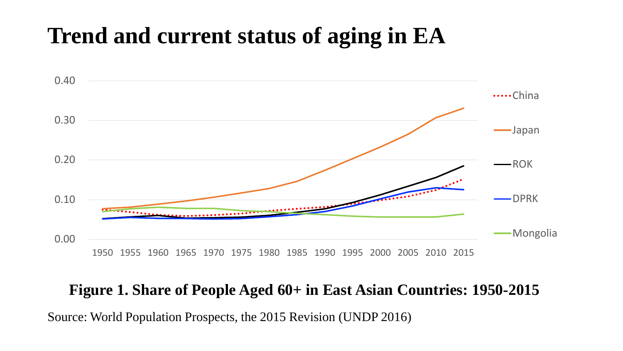### **Trend and current status of aging in EA**



#### **Figure 1. Share of People Aged 60+ in East Asian Countries: 1950-2015**

Source: World Population Prospects, the 2015 Revision (UNDP 2016)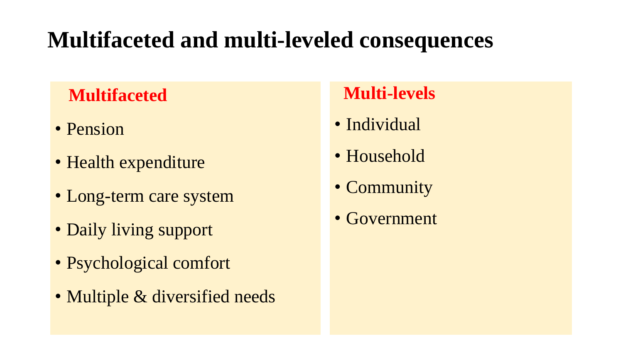# **Multifaceted and multi-leveled consequences**

### **Multifaceted**

- Pension
- Health expenditure
- Long-term care system
- Daily living support
- Psychological comfort
- Multiple & diversified needs

### **Multi-levels**

- Individual
- Household
- Community
- Government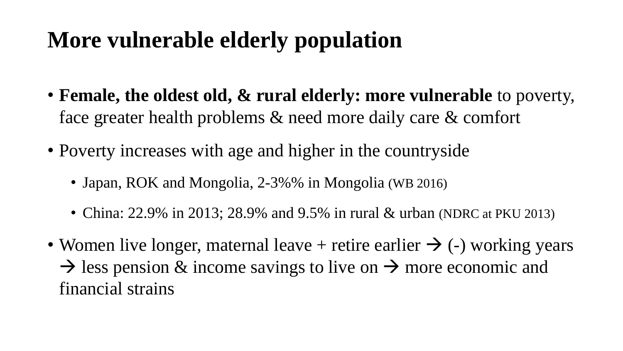### **More vulnerable elderly population**

- **Female, the oldest old, & rural elderly: more vulnerable** to poverty, face greater health problems & need more daily care & comfort
- Poverty increases with age and higher in the countryside
	- Japan, ROK and Mongolia, 2-3%% in Mongolia (WB 2016)
	- China: 22.9% in 2013; 28.9% and 9.5% in rural & urban (NDRC at PKU 2013)
- Women live longer, maternal leave + retire earlier  $\rightarrow$  (-) working years  $\rightarrow$  less pension & income savings to live on  $\rightarrow$  more economic and financial strains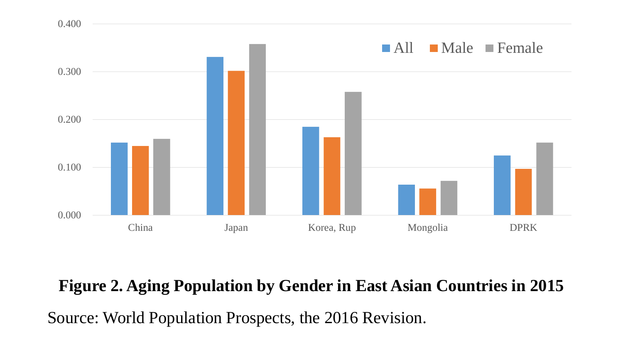

### **Figure 2. Aging Population by Gender in East Asian Countries in 2015**

Source: World Population Prospects, the 2016 Revision.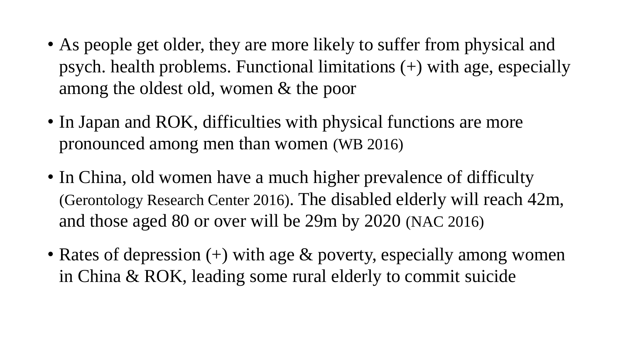- As people get older, they are more likely to suffer from physical and psych. health problems. Functional limitations (+) with age, especially among the oldest old, women & the poor
- In Japan and ROK, difficulties with physical functions are more pronounced among men than women (WB 2016)
- In China, old women have a much higher prevalence of difficulty (Gerontology Research Center 2016). The disabled elderly will reach 42m, and those aged 80 or over will be 29m by 2020 (NAC 2016)
- Rates of depression  $(+)$  with age  $\&$  poverty, especially among women in China & ROK, leading some rural elderly to commit suicide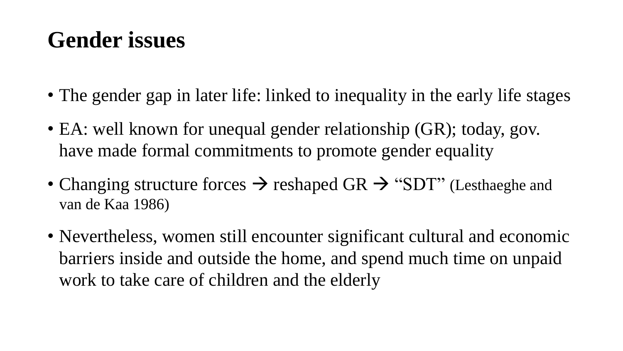### **Gender issues**

- The gender gap in later life: linked to inequality in the early life stages
- EA: well known for unequal gender relationship (GR); today, gov. have made formal commitments to promote gender equality
- Changing structure forces  $\rightarrow$  reshaped GR  $\rightarrow$  "SDT" (Lesthaeghe and van de Kaa 1986)
- Nevertheless, women still encounter significant cultural and economic barriers inside and outside the home, and spend much time on unpaid work to take care of children and the elderly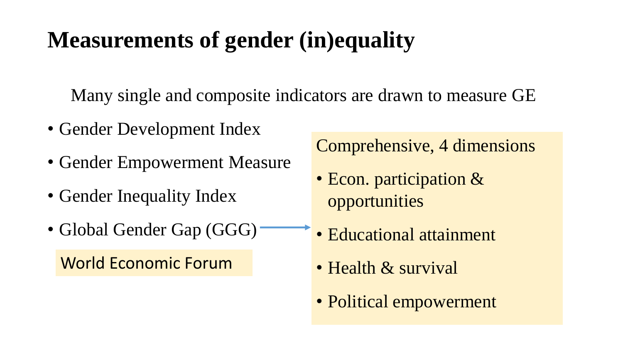# **Measurements of gender (in)equality**

Many single and composite indicators are drawn to measure GE

- Gender Development Index
- Gender Empowerment Measure
- Gender Inequality Index
- Global Gender Gap (GGG)

World Economic Forum

Comprehensive, 4 dimensions

- Econ. participation & opportunities
- Educational attainment
- Health & survival
- Political empowerment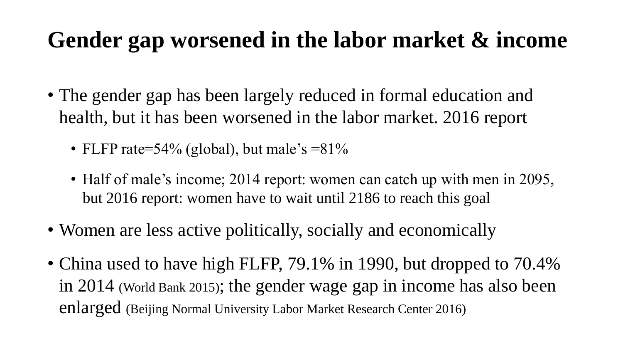### **Gender gap worsened in the labor market & income**

- The gender gap has been largely reduced in formal education and health, but it has been worsened in the labor market. 2016 report
	- FLFP rate=54% (global), but male's  $=81\%$
	- Half of male's income; 2014 report: women can catch up with men in 2095, but 2016 report: women have to wait until 2186 to reach this goal
- Women are less active politically, socially and economically
- China used to have high FLFP, 79.1% in 1990, but dropped to 70.4% in 2014 (World Bank 2015); the gender wage gap in income has also been enlarged (Beijing Normal University Labor Market Research Center 2016)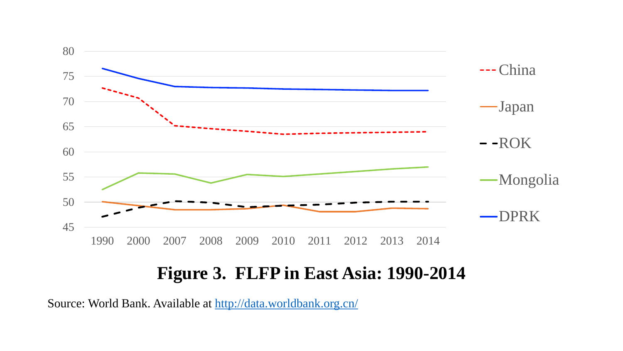

#### **Figure 3. FLFP in East Asia: 1990-2014**

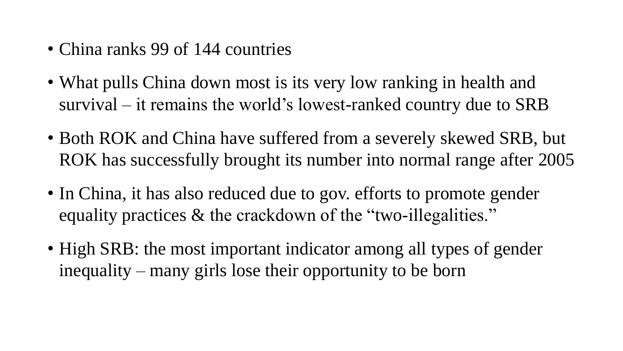- China ranks 99 of 144 countries
- What pulls China down most is its very low ranking in health and survival – it remains the world's lowest-ranked country due to SRB
- Both ROK and China have suffered from a severely skewed SRB, but ROK has successfully brought its number into normal range after 2005
- In China, it has also reduced due to gov. efforts to promote gender equality practices & the crackdown of the "two-illegalities."
- High SRB: the most important indicator among all types of gender inequality – many girls lose their opportunity to be born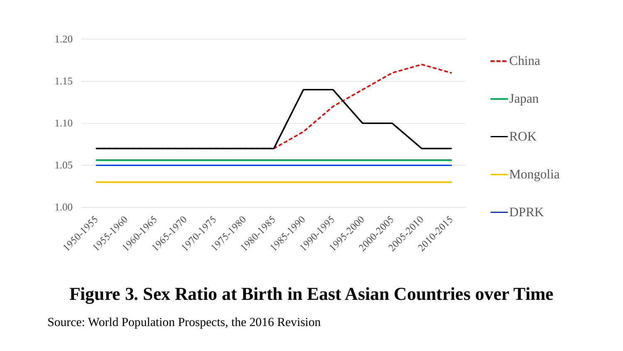

#### **Figure 3. Sex Ratio at Birth in East Asian Countries over Time**

Source: World Population Prospects, the 2016 Revision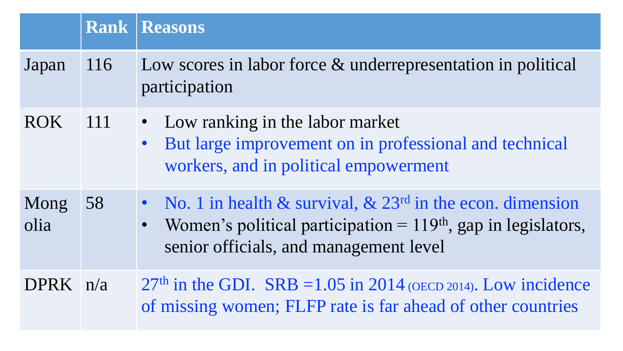|              |        | <b>Rank   Reasons</b>                                                                                                                                                                                |
|--------------|--------|------------------------------------------------------------------------------------------------------------------------------------------------------------------------------------------------------|
| Japan        | 116    | Low scores in labor force & underrepresentation in political<br>participation                                                                                                                        |
| <b>ROK</b>   | $-111$ | • Low ranking in the labor market<br>But large improvement on in professional and technical<br>workers, and in political empowerment                                                                 |
| Mong<br>olia | 58     | • No. 1 in health & survival, $\&$ 23 <sup>rd</sup> in the econ. dimension<br>Women's political participation $= 119th$ , gap in legislators,<br>$\bullet$<br>senior officials, and management level |
| DPRK $n/a$   |        | $27th$ in the GDI. SRB = 1.05 in 2014 (OECD 2014). Low incidence<br>of missing women; FLFP rate is far ahead of other countries                                                                      |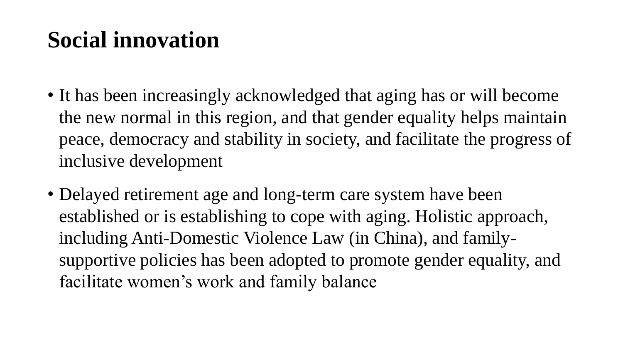### **Social innovation**

- It has been increasingly acknowledged that aging has or will become the new normal in this region, and that gender equality helps maintain peace, democracy and stability in society, and facilitate the progress of inclusive development
- Delayed retirement age and long-term care system have been established or is establishing to cope with aging. Holistic approach, including Anti-Domestic Violence Law (in China), and familysupportive policies has been adopted to promote gender equality, and facilitate women's work and family balance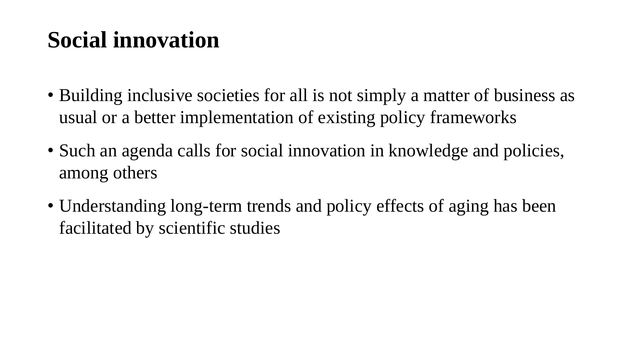### **Social innovation**

- Building inclusive societies for all is not simply a matter of business as usual or a better implementation of existing policy frameworks
- Such an agenda calls for social innovation in knowledge and policies, among others
- Understanding long-term trends and policy effects of aging has been facilitated by scientific studies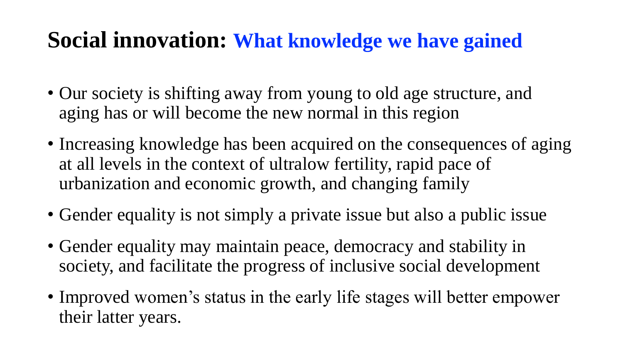### **Social innovation: What knowledge we have gained**

- Our society is shifting away from young to old age structure, and aging has or will become the new normal in this region
- Increasing knowledge has been acquired on the consequences of aging at all levels in the context of ultralow fertility, rapid pace of urbanization and economic growth, and changing family
- Gender equality is not simply a private issue but also a public issue
- Gender equality may maintain peace, democracy and stability in society, and facilitate the progress of inclusive social development
- Improved women's status in the early life stages will better empower their latter years.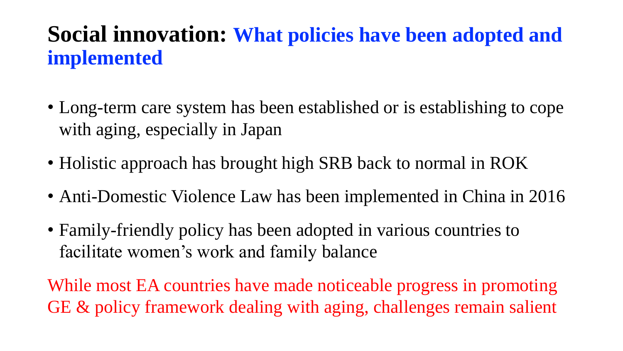### **Social innovation: What policies have been adopted and implemented**

- Long-term care system has been established or is establishing to cope with aging, especially in Japan
- Holistic approach has brought high SRB back to normal in ROK
- Anti-Domestic Violence Law has been implemented in China in 2016
- Family-friendly policy has been adopted in various countries to facilitate women's work and family balance

While most EA countries have made noticeable progress in promoting GE & policy framework dealing with aging, challenges remain salient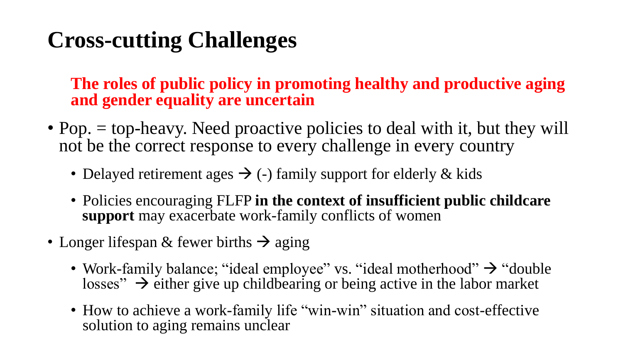### **Cross-cutting Challenges**

**The roles of public policy in promoting healthy and productive aging and gender equality are uncertain**

- Pop. = top-heavy. Need proactive policies to deal with it, but they will not be the correct response to every challenge in every country
	- Delayed retirement ages  $\rightarrow$  (-) family support for elderly & kids
	- Policies encouraging FLFP **in the context of insufficient public childcare support** may exacerbate work-family conflicts of women
- Longer lifespan & fewer births  $\rightarrow$  aging
	- Work-family balance; "ideal employee" vs. "ideal motherhood"  $\rightarrow$  "double" losses"  $\rightarrow$  either give up childbearing or being active in the labor market
	- How to achieve a work-family life "win-win" situation and cost-effective solution to aging remains unclear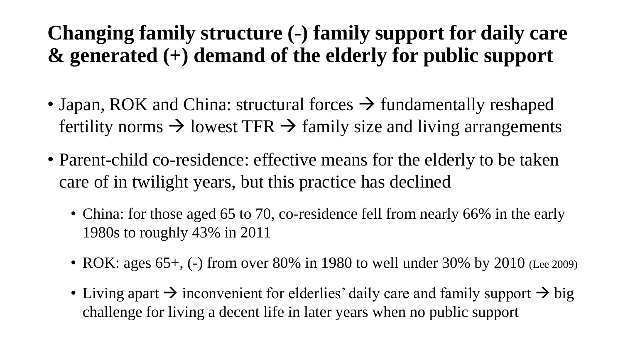### **Changing family structure (-) family support for daily care & generated (+) demand of the elderly for public support**

- Japan, ROK and China: structural forces  $\rightarrow$  fundamentally reshaped fertility norms  $\rightarrow$  lowest TFR  $\rightarrow$  family size and living arrangements
- Parent-child co-residence: effective means for the elderly to be taken care of in twilight years, but this practice has declined
	- China: for those aged 65 to 70, co-residence fell from nearly 66% in the early 1980s to roughly 43% in 2011
	- ROK: ages  $65+$ , (-) from over 80% in 1980 to well under 30% by 2010 (Lee 2009)
	- Living apart  $\rightarrow$  inconvenient for elderlies' daily care and family support  $\rightarrow$  big challenge for living a decent life in later years when no public support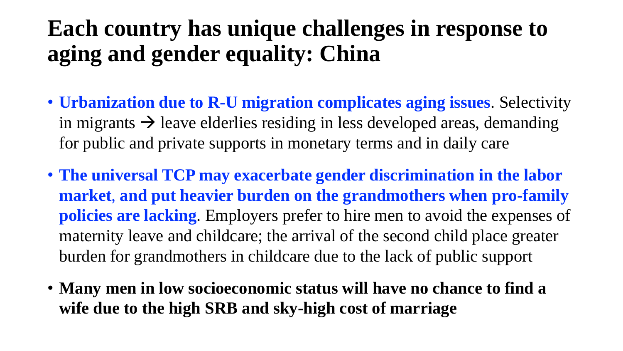### **Each country has unique challenges in response to aging and gender equality: China**

- **Urbanization due to R-U migration complicates aging issues**. Selectivity in migrants  $\rightarrow$  leave elderlies residing in less developed areas, demanding for public and private supports in monetary terms and in daily care
- **The universal TCP may exacerbate gender discrimination in the labor market**, **and put heavier burden on the grandmothers when pro-family policies are lacking**. Employers prefer to hire men to avoid the expenses of maternity leave and childcare; the arrival of the second child place greater burden for grandmothers in childcare due to the lack of public support
- **Many men in low socioeconomic status will have no chance to find a wife due to the high SRB and sky-high cost of marriage**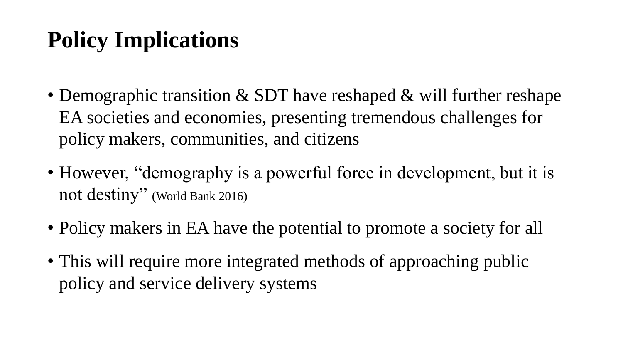# **Policy Implications**

- Demographic transition & SDT have reshaped & will further reshape EA societies and economies, presenting tremendous challenges for policy makers, communities, and citizens
- However, "demography is a powerful force in development, but it is not destiny" (World Bank 2016)
- Policy makers in EA have the potential to promote a society for all
- This will require more integrated methods of approaching public policy and service delivery systems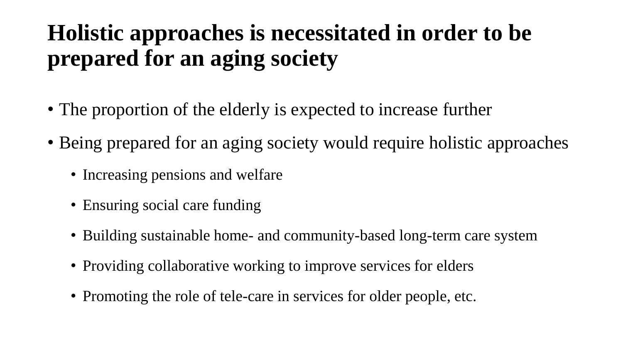# **Holistic approaches is necessitated in order to be prepared for an aging society**

- The proportion of the elderly is expected to increase further
- Being prepared for an aging society would require holistic approaches
	- Increasing pensions and welfare
	- Ensuring social care funding
	- Building sustainable home- and community-based long-term care system
	- Providing collaborative working to improve services for elders
	- Promoting the role of tele-care in services for older people, etc.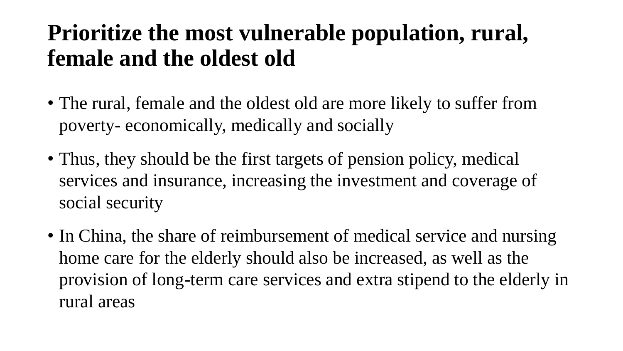### **Prioritize the most vulnerable population, rural, female and the oldest old**

- The rural, female and the oldest old are more likely to suffer from poverty- economically, medically and socially
- Thus, they should be the first targets of pension policy, medical services and insurance, increasing the investment and coverage of social security
- In China, the share of reimbursement of medical service and nursing home care for the elderly should also be increased, as well as the provision of long-term care services and extra stipend to the elderly in rural areas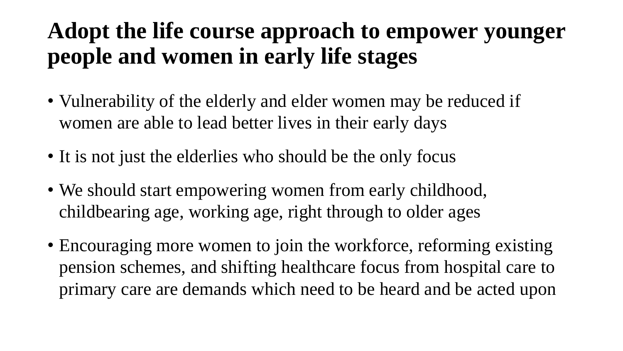### **Adopt the life course approach to empower younger people and women in early life stages**

- Vulnerability of the elderly and elder women may be reduced if women are able to lead better lives in their early days
- It is not just the elderlies who should be the only focus
- We should start empowering women from early childhood, childbearing age, working age, right through to older ages
- Encouraging more women to join the workforce, reforming existing pension schemes, and shifting healthcare focus from hospital care to primary care are demands which need to be heard and be acted upon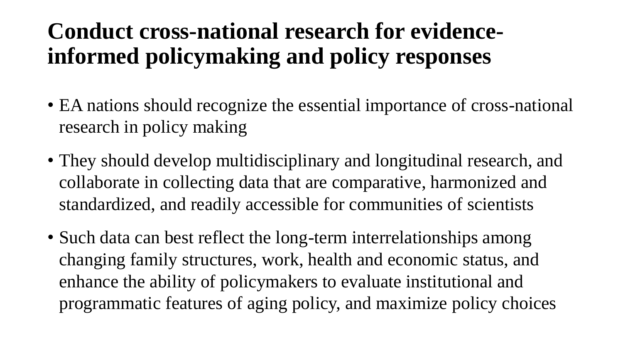### **Conduct cross-national research for evidenceinformed policymaking and policy responses**

- EA nations should recognize the essential importance of cross-national research in policy making
- They should develop multidisciplinary and longitudinal research, and collaborate in collecting data that are comparative, harmonized and standardized, and readily accessible for communities of scientists
- Such data can best reflect the long-term interrelationships among changing family structures, work, health and economic status, and enhance the ability of policymakers to evaluate institutional and programmatic features of aging policy, and maximize policy choices